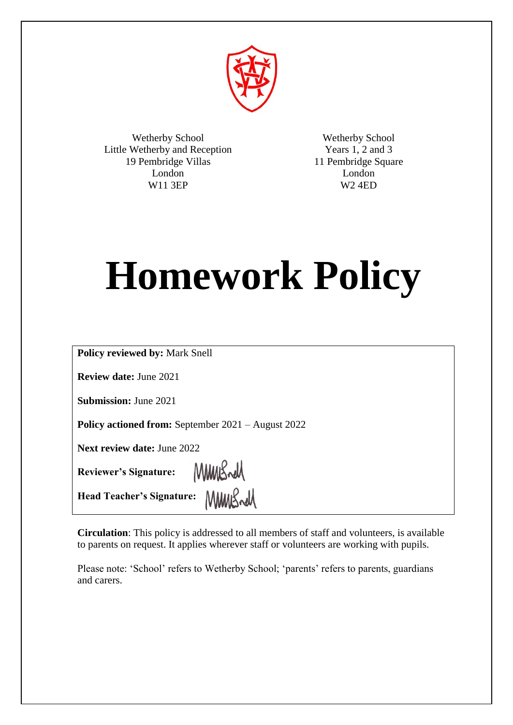

Wetherby School Little Wetherby and Reception 19 Pembridge Villas London W11 3EP

Wetherby School Years 1, 2 and 3 11 Pembridge Square London W2 4ED

# **Homework Policy**

| <b>Policy reviewed by: Mark Snell</b> |  |
|---------------------------------------|--|
| <b>Review date: June 2021</b>         |  |

**Submission:** June 2021

**Policy actioned from:** September 2021 – August 2022

MMBrell

**Next review date:** June 2022

**Reviewer's Signature:**

Head Teacher's Signature: MMMS w

**Circulation**: This policy is addressed to all members of staff and volunteers, is available to parents on request. It applies wherever staff or volunteers are working with pupils.

Please note: 'School' refers to Wetherby School; 'parents' refers to parents, guardians and carers.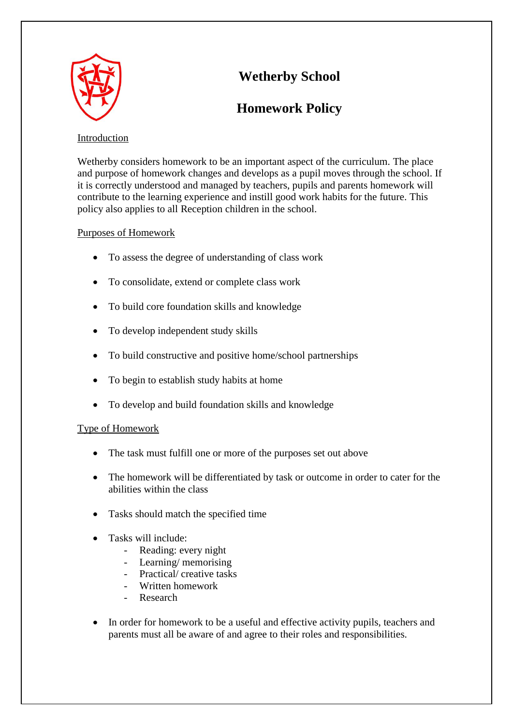

# **Wetherby School**

# **Homework Policy**

# Introduction

Wetherby considers homework to be an important aspect of the curriculum. The place and purpose of homework changes and develops as a pupil moves through the school. If it is correctly understood and managed by teachers, pupils and parents homework will contribute to the learning experience and instill good work habits for the future. This policy also applies to all Reception children in the school.

## Purposes of Homework

- To assess the degree of understanding of class work
- To consolidate, extend or complete class work
- To build core foundation skills and knowledge
- To develop independent study skills
- To build constructive and positive home/school partnerships
- To begin to establish study habits at home
- To develop and build foundation skills and knowledge

# Type of Homework

- The task must fulfill one or more of the purposes set out above
- The homework will be differentiated by task or outcome in order to cater for the abilities within the class
- Tasks should match the specified time
- Tasks will include:
	- Reading: every night
	- Learning/ memorising
	- Practical/ creative tasks
	- Written homework
	- **Research**
- In order for homework to be a useful and effective activity pupils, teachers and parents must all be aware of and agree to their roles and responsibilities.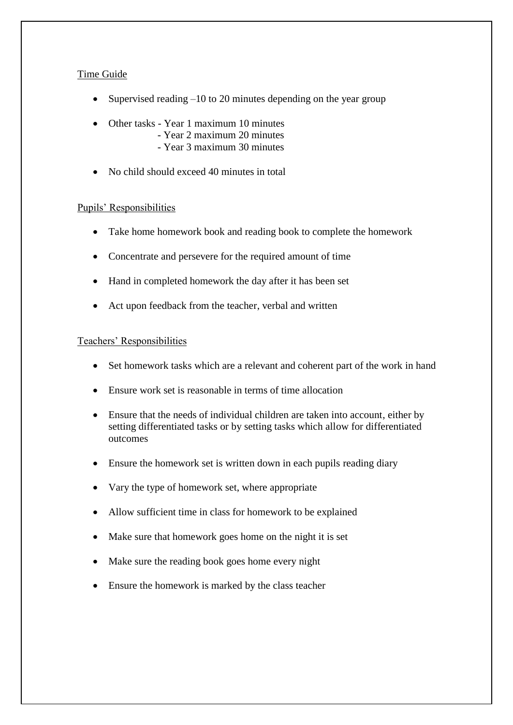## Time Guide

- Supervised reading –10 to 20 minutes depending on the year group
- Other tasks Year 1 maximum 10 minutes
	- Year 2 maximum 20 minutes
		- Year 3 maximum 30 minutes
- No child should exceed 40 minutes in total

## Pupils' Responsibilities

- Take home homework book and reading book to complete the homework
- Concentrate and persevere for the required amount of time
- Hand in completed homework the day after it has been set
- Act upon feedback from the teacher, verbal and written

## Teachers' Responsibilities

- Set homework tasks which are a relevant and coherent part of the work in hand
- Ensure work set is reasonable in terms of time allocation
- Ensure that the needs of individual children are taken into account, either by setting differentiated tasks or by setting tasks which allow for differentiated outcomes
- Ensure the homework set is written down in each pupils reading diary
- Vary the type of homework set, where appropriate
- Allow sufficient time in class for homework to be explained
- Make sure that homework goes home on the night it is set
- Make sure the reading book goes home every night
- Ensure the homework is marked by the class teacher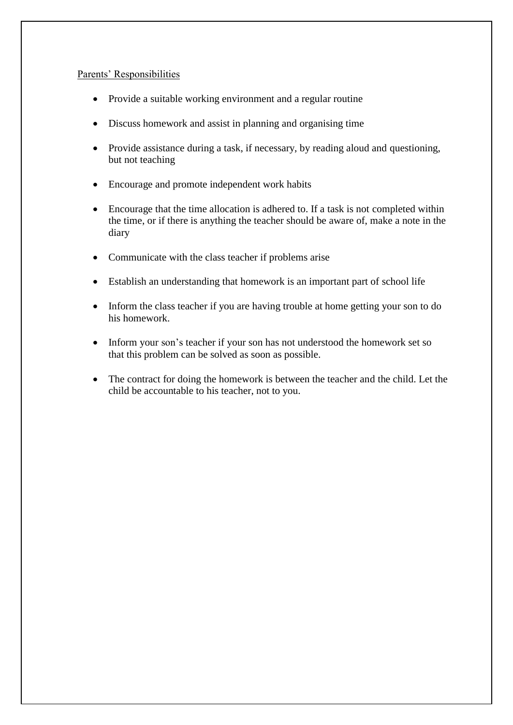#### Parents' Responsibilities

- Provide a suitable working environment and a regular routine
- Discuss homework and assist in planning and organising time
- Provide assistance during a task, if necessary, by reading aloud and questioning, but not teaching
- Encourage and promote independent work habits
- Encourage that the time allocation is adhered to. If a task is not completed within the time, or if there is anything the teacher should be aware of, make a note in the diary
- Communicate with the class teacher if problems arise
- Establish an understanding that homework is an important part of school life
- Inform the class teacher if you are having trouble at home getting your son to do his homework.
- Inform your son's teacher if your son has not understood the homework set so that this problem can be solved as soon as possible.
- The contract for doing the homework is between the teacher and the child. Let the child be accountable to his teacher, not to you.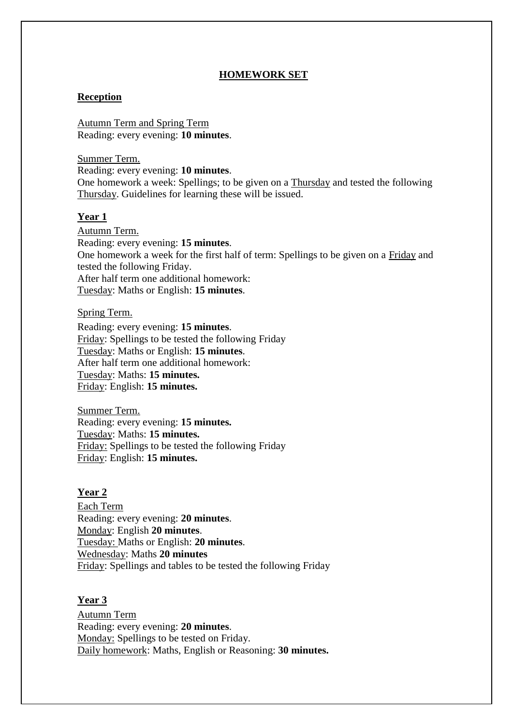#### **HOMEWORK SET**

#### **Reception**

Autumn Term and Spring Term Reading: every evening: **10 minutes**.

Summer Term. Reading: every evening: **10 minutes**. One homework a week: Spellings; to be given on a Thursday and tested the following Thursday. Guidelines for learning these will be issued.

#### **Year 1**

Autumn Term. Reading: every evening: **15 minutes**. One homework a week for the first half of term: Spellings to be given on a Friday and tested the following Friday. After half term one additional homework: Tuesday: Maths or English: **15 minutes**.

#### Spring Term.

Reading: every evening: **15 minutes**. Friday: Spellings to be tested the following Friday Tuesday: Maths or English: **15 minutes**. After half term one additional homework: Tuesday: Maths: **15 minutes.** Friday: English: **15 minutes.**

Summer Term. Reading: every evening: **15 minutes.** Tuesday: Maths: **15 minutes.** Friday: Spellings to be tested the following Friday Friday: English: **15 minutes.**

#### **Year 2**

Each Term Reading: every evening: **20 minutes**. Monday: English **20 minutes**. Tuesday: Maths or English: **20 minutes**. Wednesday: Maths **20 minutes** Friday: Spellings and tables to be tested the following Friday

#### **Year 3**

Autumn Term Reading: every evening: **20 minutes**. Monday: Spellings to be tested on Friday. Daily homework: Maths, English or Reasoning: **30 minutes.**